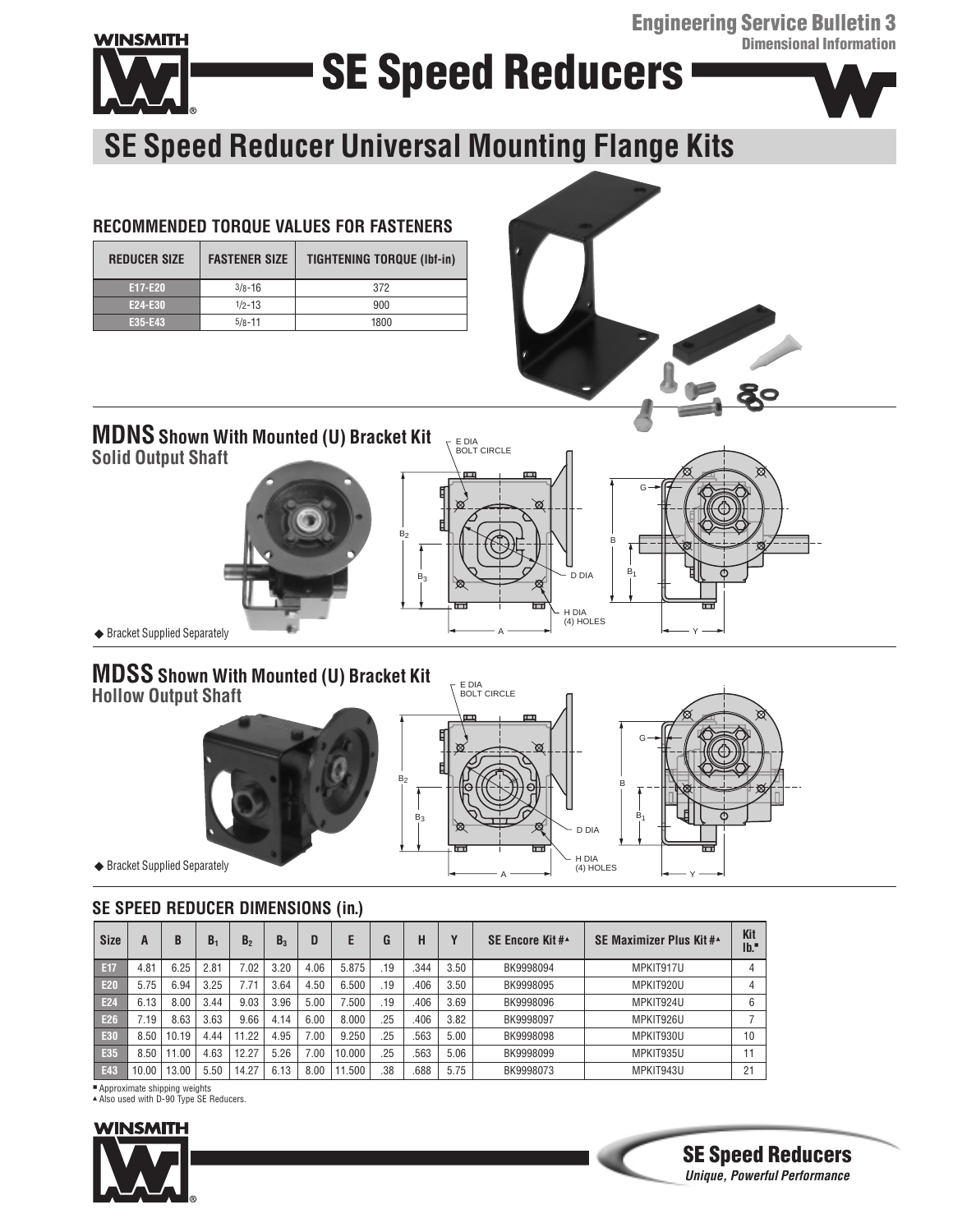**Engineering Service Bulletin 3 Dimensional Information**



# **SE Speed Reducers**



## **SE Speed Reducer Universal Mounting Flange Kits**

### **RECOMMENDED TORQUE VALUES FOR FASTENERS**

| <b>REDUCER SIZE</b> | <b>FASTENER SIZE</b> | <b>TIGHTENING TORQUE (Ibf-in)</b> |
|---------------------|----------------------|-----------------------------------|
| <b>E17-E20</b>      | $3/8 - 16$           | 372                               |
| E24-E30             | $1/2 - 13$           | 900                               |
| E35-E43             | $5/8 - 11$           | 1800                              |



## **MDNSShown With Mounted (U) Bracket Kit**

**Solid Output Shaft**







**SE Speed Reducers Unique, Powerful Performance**

◆ Bracket Supplied Separately

### **MDSS Shown With Mounted (U) Bracket Kit Hollow Output Shaft**





◆ Bracket Supplied Separately

### **SE SPEED REDUCER DIMENSIONS (in.)**

| <b>Size</b>     | A     | B    | B <sub>1</sub> | B,    | $B_{3}$ | D    | Ε      | G   | Н    | $\mathbf{v}$ | <b>SE Encore Kit#</b> | SE Maximizer Plus Kit #* | Kit<br>Ib. |
|-----------------|-------|------|----------------|-------|---------|------|--------|-----|------|--------------|-----------------------|--------------------------|------------|
| E17             | 4.81  | 6.25 | 2.81           | 7.02  | 3.20    | 4.06 | 5.875  | .19 | .344 | 3.50         | BK9998094             | MPKIT917U                |            |
| E20             | 5.75  | 6.94 | 3.25           | 7.71  | 3.64    | 4.50 | 6.500  | .19 | .406 | 3.50         | BK9998095             | MPKIT920U                |            |
| E <sub>24</sub> | 6.13  | 8.00 | 3.44           | 9.03  | 3.96    | 5.00 | 7.500  | .19 | .406 | 3.69         | BK9998096             | MPKIT924U                | 6          |
| E26             | .19   | 8.63 | 3.63           | 9.66  | 4.14    | 6.00 | 8.000  | .25 | .406 | 3.82         | BK9998097             | MPKIT926U                |            |
| E30             | 8.50  | 0.19 | 4.44           | 11.22 | 4.95    | 7.00 | 9.250  | .25 | .563 | 5.00         | BK9998098             | MPKIT930U                | 10         |
| E35             | 8.50  | 1.00 | 4.63           | 12.27 | 5.26    | .00  | 10.000 | .25 | .563 | 5.06         | BK9998099             | MPKIT935U                |            |
| E43             | 10.00 | 3.00 | 5.50           | 14.27 | 6.13    | 8.00 | .500   | .38 | .688 | 5.75         | BK9998073             | MPKIT943U                | 21         |

B 2

■ Approximate shipping weights<br>▲Also used with D-90 Type SE Reducers.

## **WINSMITH**